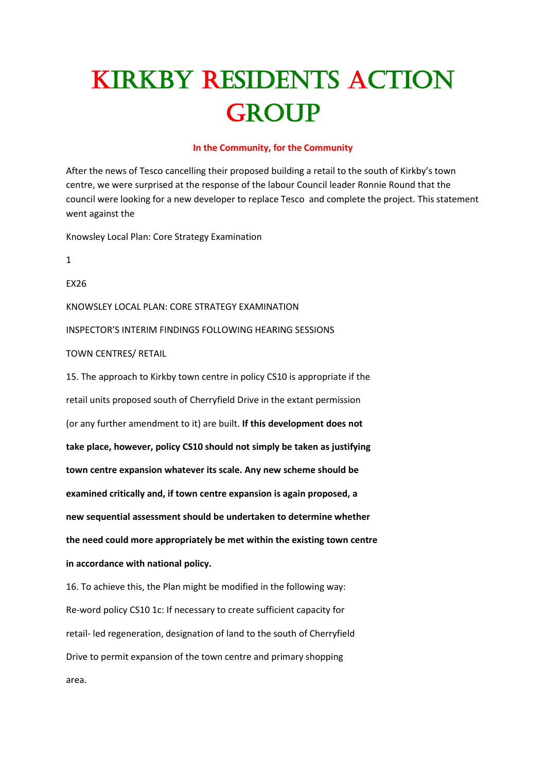# Kirkby Residents Action **GROUP**

#### **In the Community, for the Community**

After the news of Tesco cancelling their proposed building a retail to the south of Kirkby's town centre, we were surprised at the response of the labour Council leader Ronnie Round that the council were looking for a new developer to replace Tesco and complete the project. This statement went against the

Knowsley Local Plan: Core Strategy Examination

1

EX26

KNOWSLEY LOCAL PLAN: CORE STRATEGY EXAMINATION

INSPECTOR'S INTERIM FINDINGS FOLLOWING HEARING SESSIONS

#### TOWN CENTRES/ RETAIL

15. The approach to Kirkby town centre in policy CS10 is appropriate if the retail units proposed south of Cherryfield Drive in the extant permission (or any further amendment to it) are built. **If this development does not take place, however, policy CS10 should not simply be taken as justifying town centre expansion whatever its scale. Any new scheme should be examined critically and, if town centre expansion is again proposed, a new sequential assessment should be undertaken to determine whether the need could more appropriately be met within the existing town centre in accordance with national policy.**

16. To achieve this, the Plan might be modified in the following way: Re-word policy CS10 1c: If necessary to create sufficient capacity for retail- led regeneration, designation of land to the south of Cherryfield Drive to permit expansion of the town centre and primary shopping area.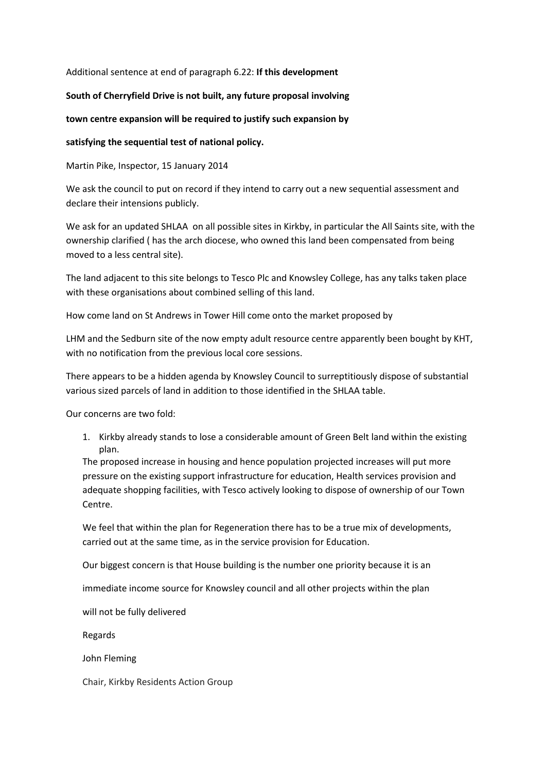### Additional sentence at end of paragraph 6.22: **If this development**

## **South of Cherryfield Drive is not built, any future proposal involving**

## **town centre expansion will be required to justify such expansion by**

# **satisfying the sequential test of national policy.**

Martin Pike, Inspector, 15 January 2014

We ask the council to put on record if they intend to carry out a new sequential assessment and declare their intensions publicly.

We ask for an updated SHLAA on all possible sites in Kirkby, in particular the All Saints site, with the ownership clarified ( has the arch diocese, who owned this land been compensated from being moved to a less central site).

The land adjacent to this site belongs to Tesco Plc and Knowsley College, has any talks taken place with these organisations about combined selling of this land.

How come land on St Andrews in Tower Hill come onto the market proposed by

LHM and the Sedburn site of the now empty adult resource centre apparently been bought by KHT, with no notification from the previous local core sessions.

There appears to be a hidden agenda by Knowsley Council to surreptitiously dispose of substantial various sized parcels of land in addition to those identified in the SHLAA table.

Our concerns are two fold:

1. Kirkby already stands to lose a considerable amount of Green Belt land within the existing plan.

The proposed increase in housing and hence population projected increases will put more pressure on the existing support infrastructure for education, Health services provision and adequate shopping facilities, with Tesco actively looking to dispose of ownership of our Town Centre.

We feel that within the plan for Regeneration there has to be a true mix of developments, carried out at the same time, as in the service provision for Education.

Our biggest concern is that House building is the number one priority because it is an

immediate income source for Knowsley council and all other projects within the plan

will not be fully delivered

Regards

John Fleming

Chair, Kirkby Residents Action Group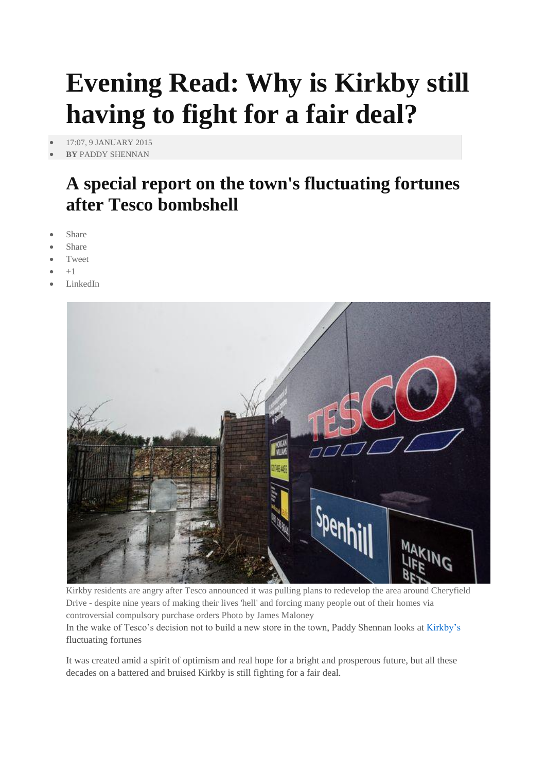# **Evening Read: Why is Kirkby still having to fight for a fair deal?**

[17:07, 9 JANUARY 2015](http://www.liverpoolecho.co.uk/by-date/09-01-2015)

# **BY** [PADDY SHENNAN](http://www.liverpoolecho.co.uk/authors/paddy-shennan/)

# **A special report on the town's fluctuating fortunes after Tesco bombshell**

- Share
- Share
- Tweet
- +1
- LinkedIn



Kirkby residents are angry after Tesco announced it was pulling plans to redevelop the area around Cheryfield Drive - despite nine years of making their lives 'hell' and forcing many people out of their homes via controversial compulsory purchase orders Photo by James Maloney In the wake of Tesco's decision not to build a new store in the town, Paddy Shennan looks at [Kirkby's](http://www.liverpoolecho.co.uk/all-about/kirkby) fluctuating fortunes

It was created amid a spirit of optimism and real hope for a bright and prosperous future, but all these decades on a battered and bruised Kirkby is still fighting for a fair deal.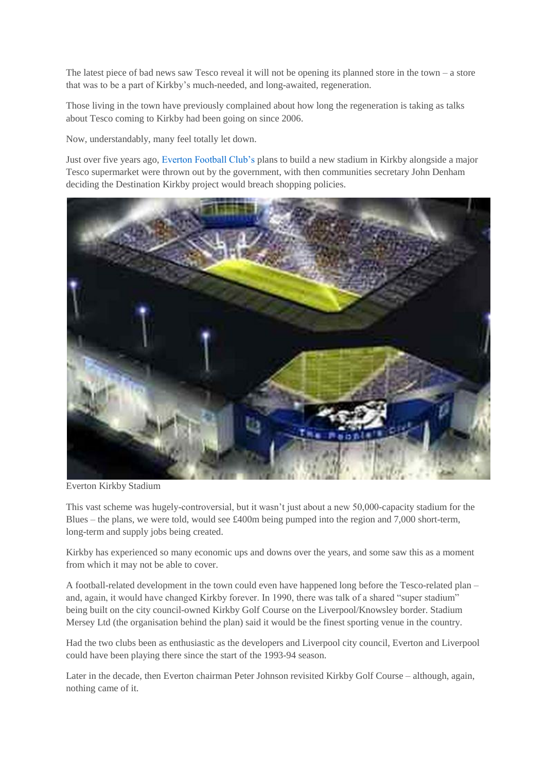The latest piece of bad news saw Tesco reveal it will not be opening its planned store in the town – a store that was to be a part of Kirkby's much-needed, and long-awaited, regeneration.

Those living in the town have previously complained about how long the regeneration is taking as talks about Tesco coming to Kirkby had been going on since 2006.

Now, understandably, many feel totally let down.

Just over five years ago, [Everton Football Club's](http://www.liverpoolecho.co.uk/all-about/everton-fc) plans to build a new stadium in Kirkby alongside a major Tesco supermarket were thrown out by the government, with then communities secretary John Denham deciding the Destination Kirkby project would breach shopping policies.



Everton Kirkby Stadium

This vast scheme was hugely-controversial, but it wasn't just about a new 50,000-capacity stadium for the Blues – the plans, we were told, would see £400m being pumped into the region and 7,000 short-term, long-term and supply jobs being created.

Kirkby has experienced so many economic ups and downs over the years, and some saw this as a moment from which it may not be able to cover.

A football-related development in the town could even have happened long before the Tesco-related plan – and, again, it would have changed Kirkby forever. In 1990, there was talk of a shared "super stadium" being built on the city council-owned Kirkby Golf Course on the Liverpool/Knowsley border. Stadium Mersey Ltd (the organisation behind the plan) said it would be the finest sporting venue in the country.

Had the two clubs been as enthusiastic as the developers and Liverpool city council, Everton and Liverpool could have been playing there since the start of the 1993-94 season.

Later in the decade, then Everton chairman Peter Johnson revisited Kirkby Golf Course – although, again, nothing came of it.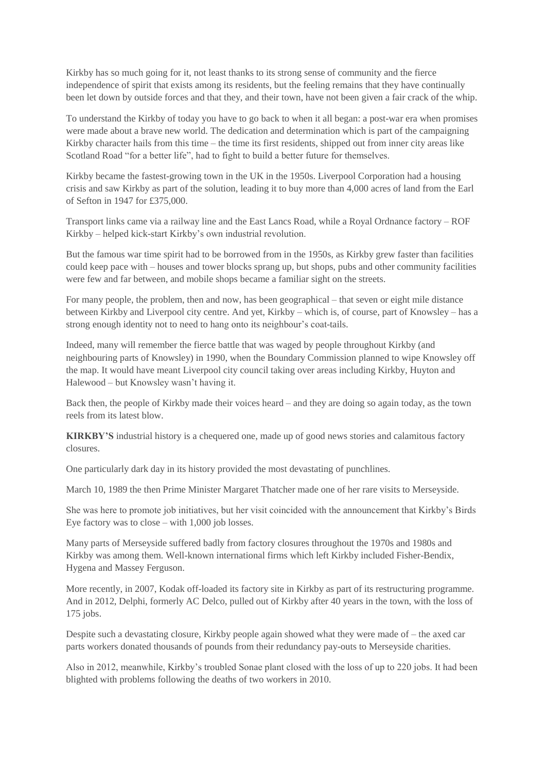Kirkby has so much going for it, not least thanks to its strong sense of community and the fierce independence of spirit that exists among its residents, but the feeling remains that they have continually been let down by outside forces and that they, and their town, have not been given a fair crack of the whip.

To understand the Kirkby of today you have to go back to when it all began: a post-war era when promises were made about a brave new world. The dedication and determination which is part of the campaigning Kirkby character hails from this time – the time its first residents, shipped out from inner city areas like Scotland Road "for a better life", had to fight to build a better future for themselves.

Kirkby became the fastest-growing town in the UK in the 1950s. Liverpool Corporation had a housing crisis and saw Kirkby as part of the solution, leading it to buy more than 4,000 acres of land from the Earl of Sefton in 1947 for £375,000.

Transport links came via a railway line and the East Lancs Road, while a Royal Ordnance factory – ROF Kirkby – helped kick-start Kirkby's own industrial revolution.

But the famous war time spirit had to be borrowed from in the 1950s, as Kirkby grew faster than facilities could keep pace with – houses and tower blocks sprang up, but shops, pubs and other community facilities were few and far between, and mobile shops became a familiar sight on the streets.

For many people, the problem, then and now, has been geographical – that seven or eight mile distance between Kirkby and Liverpool city centre. And yet, Kirkby – which is, of course, part of Knowsley – has a strong enough identity not to need to hang onto its neighbour's coat-tails.

Indeed, many will remember the fierce battle that was waged by people throughout Kirkby (and neighbouring parts of Knowsley) in 1990, when the Boundary Commission planned to wipe Knowsley off the map. It would have meant Liverpool city council taking over areas including Kirkby, Huyton and Halewood – but Knowsley wasn't having it.

Back then, the people of Kirkby made their voices heard – and they are doing so again today, as the town reels from its latest blow.

**KIRKBY'S** industrial history is a chequered one, made up of good news stories and calamitous factory closures.

One particularly dark day in its history provided the most devastating of punchlines.

March 10, 1989 the then Prime Minister Margaret Thatcher made one of her rare visits to Merseyside.

She was here to promote job initiatives, but her visit coincided with the announcement that Kirkby's Birds Eye factory was to close – with 1,000 job losses.

Many parts of Merseyside suffered badly from factory closures throughout the 1970s and 1980s and Kirkby was among them. Well-known international firms which left Kirkby included Fisher-Bendix, Hygena and Massey Ferguson.

More recently, in 2007, Kodak off-loaded its factory site in Kirkby as part of its restructuring programme. And in 2012, Delphi, formerly AC Delco, pulled out of Kirkby after 40 years in the town, with the loss of 175 jobs.

Despite such a devastating closure, Kirkby people again showed what they were made of – the axed car parts workers donated thousands of pounds from their redundancy pay-outs to Merseyside charities.

Also in 2012, meanwhile, Kirkby's troubled Sonae plant closed with the loss of up to 220 jobs. It had been blighted with problems following the deaths of two workers in 2010.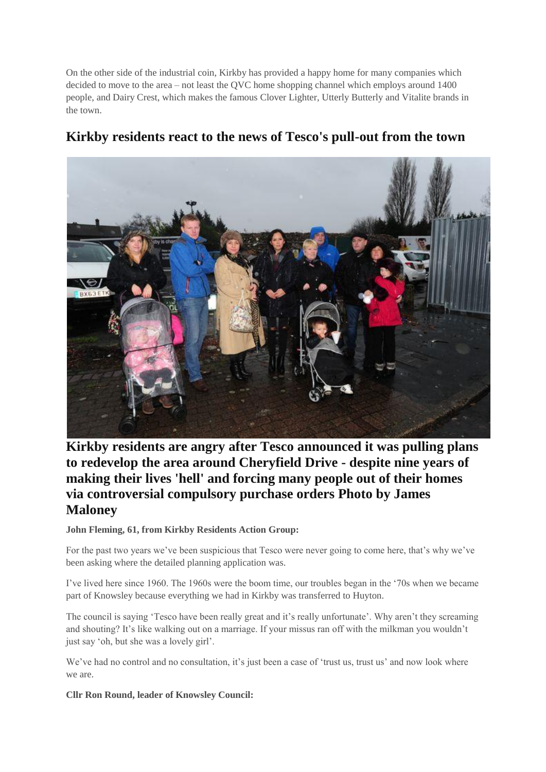On the other side of the industrial coin, Kirkby has provided a happy home for many companies which decided to move to the area – not least the QVC home shopping channel which employs around 1400 people, and Dairy Crest, which makes the famous Clover Lighter, Utterly Butterly and Vitalite brands in the town.



# **Kirkby residents react to the news of Tesco's pull-out from the town**

**Kirkby residents are angry after Tesco announced it was pulling plans to redevelop the area around Cheryfield Drive - despite nine years of making their lives 'hell' and forcing many people out of their homes via controversial compulsory purchase orders Photo by James Maloney** 

# **John Fleming, 61, from Kirkby Residents Action Group:**

For the past two years we've been suspicious that Tesco were never going to come here, that's why we've been asking where the detailed planning application was.

I've lived here since 1960. The 1960s were the boom time, our troubles began in the '70s when we became part of Knowsley because everything we had in Kirkby was transferred to Huyton.

The council is saying 'Tesco have been really great and it's really unfortunate'. Why aren't they screaming and shouting? It's like walking out on a marriage. If your missus ran off with the milkman you wouldn't just say 'oh, but she was a lovely girl'.

We've had no control and no consultation, it's just been a case of 'trust us, trust us' and now look where we are.

# **Cllr Ron Round, leader of Knowsley Council:**